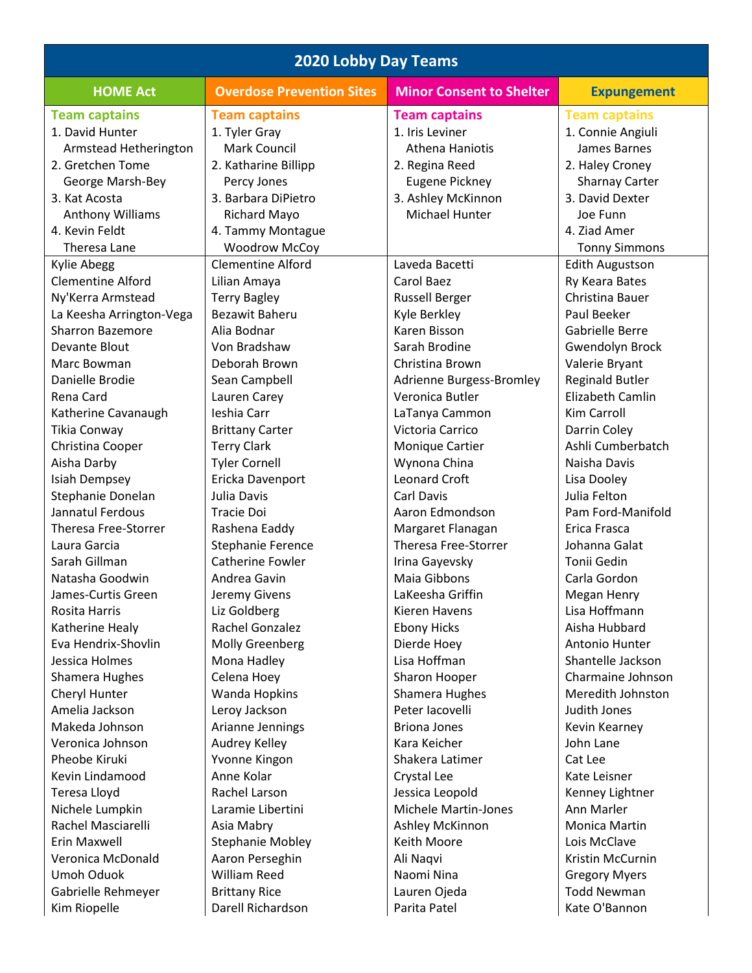| <b>2020 Lobby Day Teams</b> |                                  |                                 |                         |  |
|-----------------------------|----------------------------------|---------------------------------|-------------------------|--|
| <b>HOME Act</b>             | <b>Overdose Prevention Sites</b> | <b>Minor Consent to Shelter</b> | <b>Expungement</b>      |  |
| <b>Team captains</b>        | <b>Team captains</b>             | <b>Team captains</b>            | <b>Team captains</b>    |  |
| 1. David Hunter             | 1. Tyler Gray                    | 1. Iris Leviner                 | 1. Connie Angiuli       |  |
| Armstead Hetherington       | Mark Council                     | <b>Athena Haniotis</b>          | James Barnes            |  |
| 2. Gretchen Tome            | 2. Katharine Billipp             | 2. Regina Reed                  | 2. Haley Croney         |  |
| George Marsh-Bey            | Percy Jones                      | <b>Eugene Pickney</b>           | <b>Sharnay Carter</b>   |  |
| 3. Kat Acosta               | 3. Barbara DiPietro              | 3. Ashley McKinnon              | 3. David Dexter         |  |
| Anthony Williams            | Richard Mayo                     | Michael Hunter                  | Joe Funn                |  |
| 4. Kevin Feldt              | 4. Tammy Montague                |                                 | 4. Ziad Amer            |  |
| Theresa Lane                | <b>Woodrow McCoy</b>             |                                 | <b>Tonny Simmons</b>    |  |
| <b>Kylie Abegg</b>          | <b>Clementine Alford</b>         | Laveda Bacetti                  | <b>Edith Augustson</b>  |  |
| <b>Clementine Alford</b>    | Lilian Amaya                     | Carol Baez                      | Ry Keara Bates          |  |
| Ny'Kerra Armstead           | <b>Terry Bagley</b>              | <b>Russell Berger</b>           | Christina Bauer         |  |
| La Keesha Arrington-Vega    | <b>Bezawit Baheru</b>            | Kyle Berkley                    | Paul Beeker             |  |
| <b>Sharron Bazemore</b>     | Alia Bodnar                      | Karen Bisson                    | Gabrielle Berre         |  |
| Devante Blout               | Von Bradshaw                     | Sarah Brodine                   | Gwendolyn Brock         |  |
| Marc Bowman                 | Deborah Brown                    | Christina Brown                 | Valerie Bryant          |  |
| Danielle Brodie             | Sean Campbell                    | Adrienne Burgess-Bromley        | <b>Reginald Butler</b>  |  |
| Rena Card                   | Lauren Carey                     | Veronica Butler                 | <b>Elizabeth Camlin</b> |  |
| Katherine Cavanaugh         | Ieshia Carr                      | LaTanya Cammon                  | Kim Carroll             |  |
| Tikia Conway                | <b>Brittany Carter</b>           | Victoria Carrico                | Darrin Coley            |  |
| Christina Cooper            | <b>Terry Clark</b>               | Monique Cartier                 | Ashli Cumberbatch       |  |
| Aisha Darby                 | <b>Tyler Cornell</b>             | Wynona China                    | Naisha Davis            |  |
| Isiah Dempsey               | Ericka Davenport                 | <b>Leonard Croft</b>            | Lisa Dooley             |  |
| Stephanie Donelan           | Julia Davis                      | Carl Davis                      | Julia Felton            |  |
| Jannatul Ferdous            | <b>Tracie Doi</b>                | Aaron Edmondson                 | Pam Ford-Manifold       |  |
| Theresa Free-Storrer        | Rashena Eaddy                    | Margaret Flanagan               | Erica Frasca            |  |
| Laura Garcia                | Stephanie Ference                | <b>Theresa Free-Storrer</b>     | Johanna Galat           |  |
| Sarah Gillman               | Catherine Fowler                 | Irina Gayevsky                  | Tonii Gedin             |  |
| Natasha Goodwin             | Andrea Gavin                     | Maia Gibbons                    | Carla Gordon            |  |
| James-Curtis Green          | Jeremy Givens                    | LaKeesha Griffin                | Megan Henry             |  |
| Rosita Harris               | Liz Goldberg                     | Kieren Havens                   | Lisa Hoffmann           |  |
| Katherine Healy             | Rachel Gonzalez                  | <b>Ebony Hicks</b>              | Aisha Hubbard           |  |
| Eva Hendrix-Shovlin         | Molly Greenberg                  | Dierde Hoey                     | Antonio Hunter          |  |
| Jessica Holmes              | Mona Hadley                      | Lisa Hoffman                    | Shantelle Jackson       |  |
| Shamera Hughes              | Celena Hoey                      | Sharon Hooper                   | Charmaine Johnson       |  |
| Cheryl Hunter               | Wanda Hopkins                    | Shamera Hughes                  | Meredith Johnston       |  |
| Amelia Jackson              | Leroy Jackson                    | Peter Iacovelli                 | Judith Jones            |  |
| Makeda Johnson              | Arianne Jennings                 | <b>Briona Jones</b>             | Kevin Kearney           |  |
| Veronica Johnson            | Audrey Kelley                    | Kara Keicher                    | John Lane               |  |
| Pheobe Kiruki               | Yvonne Kingon                    | Shakera Latimer                 | Cat Lee                 |  |
| Kevin Lindamood             | Anne Kolar                       | Crystal Lee                     | Kate Leisner            |  |
| Teresa Lloyd                | Rachel Larson                    | Jessica Leopold                 | Kenney Lightner         |  |
| Nichele Lumpkin             | Laramie Libertini                | <b>Michele Martin-Jones</b>     | Ann Marler              |  |
| Rachel Masciarelli          | Asia Mabry                       | Ashley McKinnon                 | Monica Martin           |  |
| Erin Maxwell                | <b>Stephanie Mobley</b>          | Keith Moore                     | Lois McClave            |  |
| Veronica McDonald           | Aaron Perseghin                  | Ali Naqvi                       | Kristin McCurnin        |  |
| Umoh Oduok                  | <b>William Reed</b>              | Naomi Nina                      | <b>Gregory Myers</b>    |  |
| Gabrielle Rehmeyer          | <b>Brittany Rice</b>             | Lauren Ojeda                    | <b>Todd Newman</b>      |  |
| Kim Riopelle                | Darell Richardson                | Parita Patel                    | Kate O'Bannon           |  |